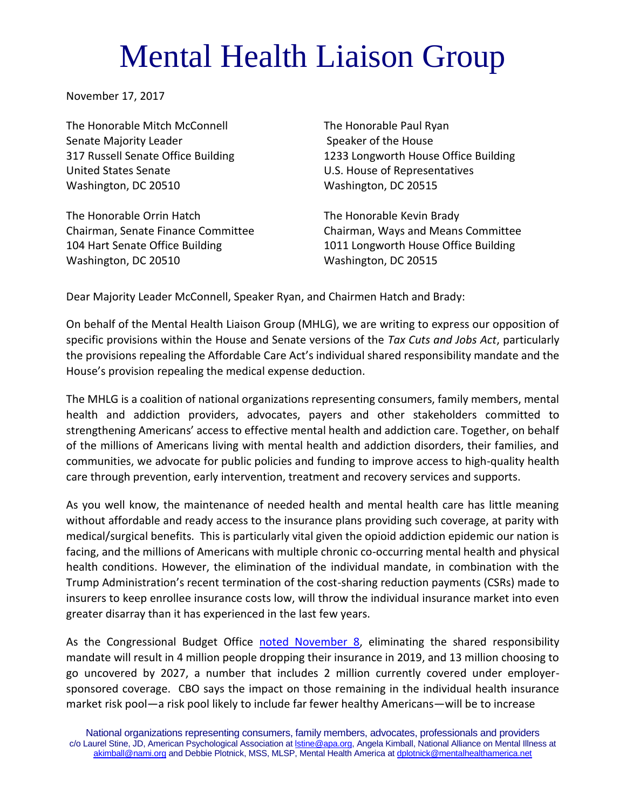## Mental Health Liaison Group

November 17, 2017

The Honorable Mitch McConnell The Honorable Paul Ryan Senate Majority Leader Speaker of the House United States Senate U.S. House of Representatives Washington, DC 20510 Washington, DC 20515

The Honorable Orrin Hatch The Honorable Kevin Brady Washington, DC 20510 Washington, DC 20515

317 Russell Senate Office Building 1233 Longworth House Office Building

Chairman, Senate Finance Committee Chairman, Ways and Means Committee 104 Hart Senate Office Building 1011 Longworth House Office Building

Dear Majority Leader McConnell, Speaker Ryan, and Chairmen Hatch and Brady:

On behalf of the Mental Health Liaison Group (MHLG), we are writing to express our opposition of specific provisions within the House and Senate versions of the *Tax Cuts and Jobs Act*, particularly the provisions repealing the Affordable Care Act's individual shared responsibility mandate and the House's provision repealing the medical expense deduction.

The MHLG is a coalition of national organizations representing consumers, family members, mental health and addiction providers, advocates, payers and other stakeholders committed to strengthening Americans' access to effective mental health and addiction care. Together, on behalf of the millions of Americans living with mental health and addiction disorders, their families, and communities, we advocate for public policies and funding to improve access to high-quality health care through prevention, early intervention, treatment and recovery services and supports.

As you well know, the maintenance of needed health and mental health care has little meaning without affordable and ready access to the insurance plans providing such coverage, at parity with medical/surgical benefits. This is particularly vital given the opioid addiction epidemic our nation is facing, and the millions of Americans with multiple chronic co-occurring mental health and physical health conditions. However, the elimination of the individual mandate, in combination with the Trump Administration's recent termination of the cost-sharing reduction payments (CSRs) made to insurers to keep enrollee insurance costs low, will throw the individual insurance market into even greater disarray than it has experienced in the last few years.

As the Congressional Budget Office [noted November 8,](https://www.cbo.gov/publication/53300) eliminating the shared responsibility mandate will result in 4 million people dropping their insurance in 2019, and 13 million choosing to go uncovered by 2027, a number that includes 2 million currently covered under employersponsored coverage. CBO says the impact on those remaining in the individual health insurance market risk pool—a risk pool likely to include far fewer healthy Americans—will be to increase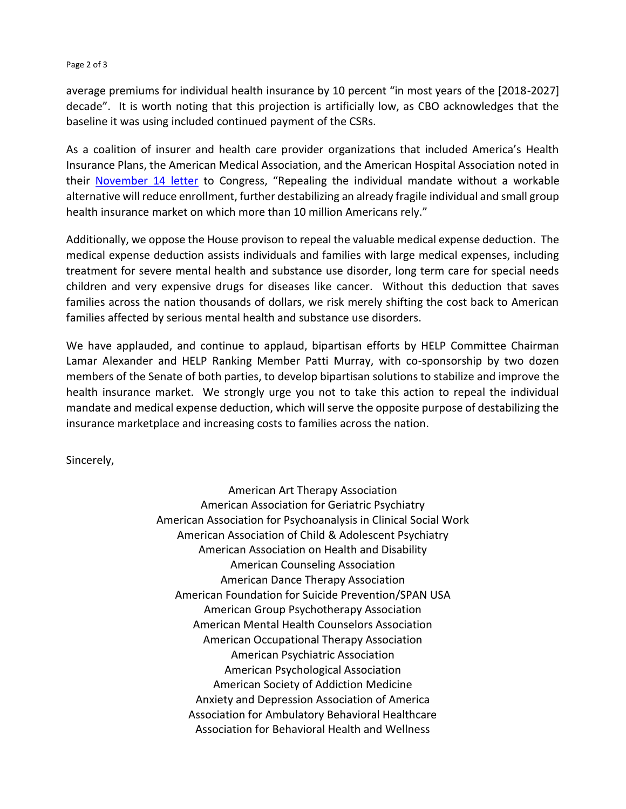## Page 2 of 3

average premiums for individual health insurance by 10 percent "in most years of the [2018-2027] decade". It is worth noting that this projection is artificially low, as CBO acknowledges that the baseline it was using included continued payment of the CSRs.

As a coalition of insurer and health care provider organizations that included America's Health Insurance Plans, the American Medical Association, and the American Hospital Association noted in their [November 14 letter](https://www.ahip.org/wp-content/uploads/2017/11/IM-Coalition-Letter-11_14_2017.pdf) to Congress, "Repealing the individual mandate without a workable alternative will reduce enrollment, further destabilizing an already fragile individual and small group health insurance market on which more than 10 million Americans rely."

Additionally, we oppose the House provison to repeal the valuable medical expense deduction. The medical expense deduction assists individuals and families with large medical expenses, including treatment for severe mental health and substance use disorder, long term care for special needs children and very expensive drugs for diseases like cancer. Without this deduction that saves families across the nation thousands of dollars, we risk merely shifting the cost back to American families affected by serious mental health and substance use disorders.

We have applauded, and continue to applaud, bipartisan efforts by HELP Committee Chairman Lamar Alexander and HELP Ranking Member Patti Murray, with co-sponsorship by two dozen members of the Senate of both parties, to develop bipartisan solutions to stabilize and improve the health insurance market. We strongly urge you not to take this action to repeal the individual mandate and medical expense deduction, which will serve the opposite purpose of destabilizing the insurance marketplace and increasing costs to families across the nation.

Sincerely,

American Art Therapy Association American Association for Geriatric Psychiatry American Association for Psychoanalysis in Clinical Social Work American Association of Child & Adolescent Psychiatry American Association on Health and Disability American Counseling Association American Dance Therapy Association American Foundation for Suicide Prevention/SPAN USA American Group Psychotherapy Association American Mental Health Counselors Association American Occupational Therapy Association American Psychiatric Association American Psychological Association American Society of Addiction Medicine Anxiety and Depression Association of America Association for Ambulatory Behavioral Healthcare Association for Behavioral Health and Wellness